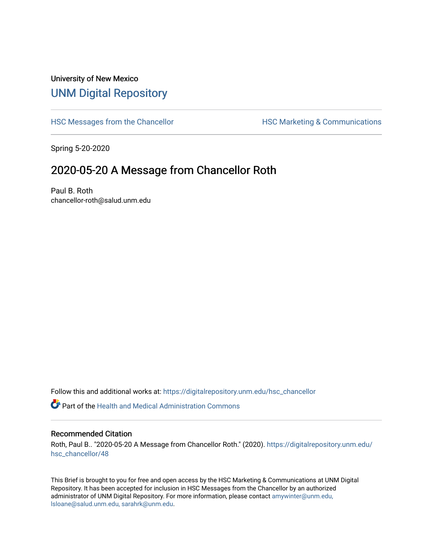## University of New Mexico [UNM Digital Repository](https://digitalrepository.unm.edu/)

[HSC Messages from the Chancellor](https://digitalrepository.unm.edu/hsc_chancellor) **HSC Marketing & Communications** 

Spring 5-20-2020

## 2020-05-20 A Message from Chancellor Roth

Paul B. Roth chancellor-roth@salud.unm.edu

Follow this and additional works at: [https://digitalrepository.unm.edu/hsc\\_chancellor](https://digitalrepository.unm.edu/hsc_chancellor?utm_source=digitalrepository.unm.edu%2Fhsc_chancellor%2F48&utm_medium=PDF&utm_campaign=PDFCoverPages) 

 $\bullet$  Part of the [Health and Medical Administration Commons](http://network.bepress.com/hgg/discipline/663?utm_source=digitalrepository.unm.edu%2Fhsc_chancellor%2F48&utm_medium=PDF&utm_campaign=PDFCoverPages)

## Recommended Citation

Roth, Paul B.. "2020-05-20 A Message from Chancellor Roth." (2020). [https://digitalrepository.unm.edu/](https://digitalrepository.unm.edu/hsc_chancellor/48?utm_source=digitalrepository.unm.edu%2Fhsc_chancellor%2F48&utm_medium=PDF&utm_campaign=PDFCoverPages) [hsc\\_chancellor/48](https://digitalrepository.unm.edu/hsc_chancellor/48?utm_source=digitalrepository.unm.edu%2Fhsc_chancellor%2F48&utm_medium=PDF&utm_campaign=PDFCoverPages) 

This Brief is brought to you for free and open access by the HSC Marketing & Communications at UNM Digital Repository. It has been accepted for inclusion in HSC Messages from the Chancellor by an authorized administrator of UNM Digital Repository. For more information, please contact [amywinter@unm.edu,](mailto:amywinter@unm.edu,%20lsloane@salud.unm.edu,%20sarahrk@unm.edu) [lsloane@salud.unm.edu, sarahrk@unm.edu.](mailto:amywinter@unm.edu,%20lsloane@salud.unm.edu,%20sarahrk@unm.edu)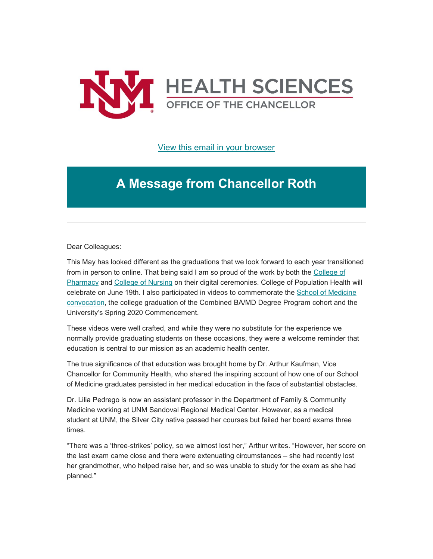

[View this email in your browser](https://mailchi.mp/cf34a6d8ad28/message-from-the-chancellor-coronavirus-4419360?e=b4bbfca2c0)

## **A Message from Chancellor Roth**

Dear Colleagues:

This May has looked different as the graduations that we look forward to each year transitioned from in person to online. That being said I am so proud of the work by both the [College of](https://unm.us19.list-manage.com/track/click?u=59ce53c1a4dedb490bac78648&id=ed539d8eb4&e=b4bbfca2c0)  [Pharmacy](https://unm.us19.list-manage.com/track/click?u=59ce53c1a4dedb490bac78648&id=ed539d8eb4&e=b4bbfca2c0) and [College of Nursing](https://unm.us19.list-manage.com/track/click?u=59ce53c1a4dedb490bac78648&id=e0fda32d84&e=b4bbfca2c0) on their digital ceremonies. College of Population Health will celebrate on June 19th. I also participated in videos to commemorate the [School of Medicine](https://unm.us19.list-manage.com/track/click?u=59ce53c1a4dedb490bac78648&id=210105a86a&e=b4bbfca2c0)  [convocation,](https://unm.us19.list-manage.com/track/click?u=59ce53c1a4dedb490bac78648&id=210105a86a&e=b4bbfca2c0) the college graduation of the Combined BA/MD Degree Program cohort and the University's Spring 2020 Commencement.

These videos were well crafted, and while they were no substitute for the experience we normally provide graduating students on these occasions, they were a welcome reminder that education is central to our mission as an academic health center.

The true significance of that education was brought home by Dr. Arthur Kaufman, Vice Chancellor for Community Health, who shared the inspiring account of how one of our School of Medicine graduates persisted in her medical education in the face of substantial obstacles.

Dr. Lilia Pedrego is now an assistant professor in the Department of Family & Community Medicine working at UNM Sandoval Regional Medical Center. However, as a medical student at UNM, the Silver City native passed her courses but failed her board exams three times.

"There was a 'three-strikes' policy, so we almost lost her," Arthur writes. "However, her score on the last exam came close and there were extenuating circumstances – she had recently lost her grandmother, who helped raise her, and so was unable to study for the exam as she had planned."